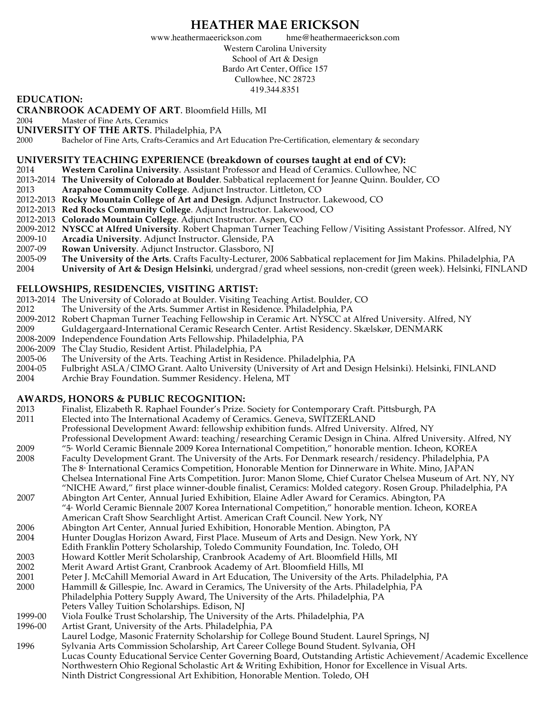## **HEATHER MAE ERICKSON**

www.heathermaeerickson.com hme@heathermaeerickson.com Western Carolina University School of Art & Design Bardo Art Center, Office 157 Cullowhee, NC 28723 419.344.8351

#### **EDUCATION:**

**CRANBROOK ACADEMY OF ART**. Bloomfield Hills, MI

2004 Master of Fine Arts, Ceramics

**UNIVERSITY OF THE ARTS.** Philadelphia, PA 2000 Bachelor of Fine Arts. Crafts-Ceramics and A

Bachelor of Fine Arts, Crafts-Ceramics and Art Education Pre-Certification, elementary & secondary

#### **UNIVERSITY TEACHING EXPERIENCE (breakdown of courses taught at end of CV):**

- 2014 **Western Carolina University**. Assistant Professor and Head of Ceramics. Cullowhee, NC
- 2013-2014 **The University of Colorado at Boulder**. Sabbatical replacement for Jeanne Quinn. Boulder, CO
- 2013 **Arapahoe Community College**. Adjunct Instructor. Littleton, CO
- 2012-2013 **Rocky Mountain College of Art and Design**. Adjunct Instructor. Lakewood, CO
- 2012-2013 **Red Rocks Community College**. Adjunct Instructor. Lakewood, CO
- 2012-2013 **Colorado Mountain College**. Adjunct Instructor. Aspen, CO
- 2009-2012 **NYSCC at Alfred University**. Robert Chapman Turner Teaching Fellow/Visiting Assistant Professor. Alfred, NY
- 2009-10 **Arcadia University**. Adjunct Instructor. Glenside, PA
- 2007-09 **Rowan University**. Adjunct Instructor. Glassboro, NJ
- 2005-09 **The University of the Arts**. Crafts Faculty-Lecturer, 2006 Sabbatical replacement for Jim Makins. Philadelphia, PA
- 2004 **University of Art & Design Helsinki**, undergrad/grad wheel sessions, non-credit (green week). Helsinki, FINLAND

#### **FELLOWSHIPS, RESIDENCIES, VISITING ARTIST:**

- 2013-2014 The University of Colorado at Boulder. Visiting Teaching Artist. Boulder, CO
- 2012 The University of the Arts. Summer Artist in Residence. Philadelphia, PA
- 2009-2012 Robert Chapman Turner Teaching Fellowship in Ceramic Art. NYSCC at Alfred University. Alfred, NY
- 2009 Guldagergaard-International Ceramic Research Center. Artist Residency. Skælskør, DENMARK
- 2008-2009 Independence Foundation Arts Fellowship. Philadelphia, PA
- 2006-2009 The Clay Studio, Resident Artist. Philadelphia, PA
- 2005-06 The University of the Arts. Teaching Artist in Residence. Philadelphia, PA
- 2004-05 Fulbright ASLA/CIMO Grant. Aalto University (University of Art and Design Helsinki). Helsinki, FINLAND
- 2004 Archie Bray Foundation. Summer Residency. Helena, MT

#### **AWARDS, HONORS & PUBLIC RECOGNITION:**

- 2013 Finalist, Elizabeth R. Raphael Founder's Prize. Society for Contemporary Craft. Pittsburgh, PA
- 2011 Elected into The International Academy of Ceramics. Geneva, SWITZERLAND
	- Professional Development Award: fellowship exhibition funds. Alfred University. Alfred, NY
- Professional Development Award: teaching/researching Ceramic Design in China. Alfred University. Alfred, NY
- 2009 "5th World Ceramic Biennale 2009 Korea International Competition," honorable mention. Icheon, KOREA Faculty Development Grant. The University of the Arts. For Denmark research/residency. Philadelphia, PA
- The 8<sup>*f*</sup> International Ceramics Competition, Honorable Mention for Dinnerware in White. Mino, JAPAN Chelsea International Fine Arts Competition. Juror: Manon Slome, Chief Curator Chelsea Museum of Art. NY, NY "NICHE Award," first place winner-double finalist, Ceramics: Molded category. Rosen Group. Philadelphia, PA
- 2007 Abington Art Center, Annual Juried Exhibition, Elaine Adler Award for Ceramics. Abington, PA "4<sup>\*</sup> World Ceramic Biennale 2007 Korea International Competition," honorable mention. Icheon, KOREA American Craft Show Searchlight Artist. American Craft Council. New York, NY
- 2006 Abington Art Center, Annual Juried Exhibition, Honorable Mention. Abington, PA
- 2004 Hunter Douglas Horizon Award, First Place. Museum of Arts and Design. New York, NY
- Edith Franklin Pottery Scholarship, Toledo Community Foundation, Inc. Toledo, OH
- 
- 2003 Howard Kottler Merit Scholarship, Cranbrook Academy of Art. Bloomfield Hills, MI
- 2002 Merit Award Artist Grant, Cranbrook Academy of Art. Bloomfield Hills, MI Peter J. McCahill Memorial Award in Art Education, The University of the Arts. Philadelphia, PA
- 2000 Hammill & Gillespie, Inc. Award in Ceramics, The University of the Arts. Philadelphia, PA
- Philadelphia Pottery Supply Award, The University of the Arts. Philadelphia, PA
- Peters Valley Tuition Scholarships. Edison, NJ
- 1999-00 Viola Foulke Trust Scholarship, The University of the Arts. Philadelphia, PA<br>1996-00 Artist Grant, University of the Arts. Philadelphia, PA
- Artist Grant, University of the Arts. Philadelphia, PA
- Laurel Lodge, Masonic Fraternity Scholarship for College Bound Student. Laurel Springs, NJ 1996 Sylvania Arts Commission Scholarship, Art Career College Bound Student. Sylvania, OH Lucas County Educational Service Center Governing Board, Outstanding Artistic Achievement/Academic Excellence Northwestern Ohio Regional Scholastic Art & Writing Exhibition, Honor for Excellence in Visual Arts. Ninth District Congressional Art Exhibition, Honorable Mention. Toledo, OH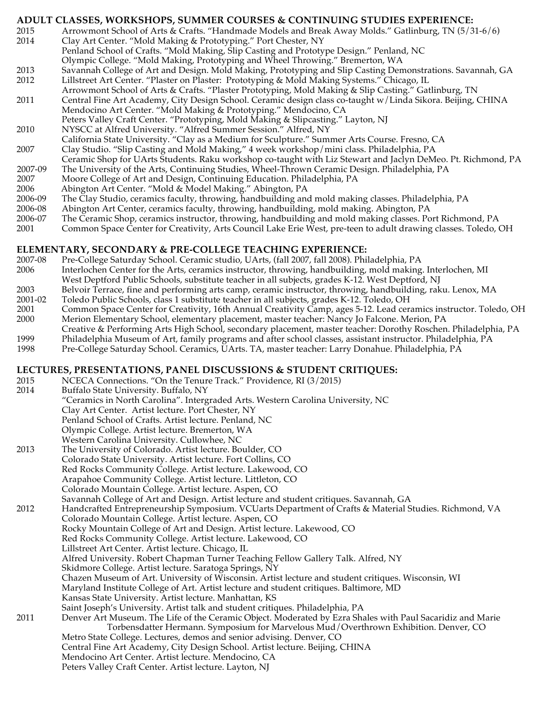#### **ADULT CLASSES, WORKSHOPS, SUMMER COURSES & CONTINUING STUDIES EXPERIENCE:**

- 2015 Arrowmont School of Arts & Crafts. "Handmade Models and Break Away Molds." Gatlinburg, TN (5/31-6/6) 2014 Clay Art Center. "Mold Making & Prototyping." Port Chester, NY
- Penland School of Crafts. "Mold Making, Slip Casting and Prototype Design." Penland, NC
- Olympic College. "Mold Making, Prototyping and Wheel Throwing." Bremerton, WA
- 2013 Savannah College of Art and Design. Mold Making, Prototyping and Slip Casting Demonstrations. Savannah, GA
- 2012 Lillstreet Art Center. "Plaster on Plaster: Prototyping & Mold Making Systems." Chicago, IL
- Arrowmont School of Arts & Crafts. "Plaster Prototyping, Mold Making & Slip Casting." Gatlinburg, TN 2011 Central Fine Art Academy, City Design School. Ceramic design class co-taught w/Linda Sikora. Beijing, CHINA Mendocino Art Center. "Mold Making & Prototyping." Mendocino, CA
- Peters Valley Craft Center. "Prototyping, Mold Making & Slipcasting." Layton, NJ
- 2010 NYSCC at Alfred University. "Alfred Summer Session." Alfred, NY
- California State University. "Clay as a Medium for Sculpture." Summer Arts Course. Fresno, CA
- 2007 Clay Studio. "Slip Casting and Mold Making," 4 week workshop/mini class. Philadelphia, PA
- Ceramic Shop for UArts Students. Raku workshop co-taught with Liz Stewart and Jaclyn DeMeo. Pt. Richmond, PA
- 2007-09 The University of the Arts, Continuing Studies, Wheel-Thrown Ceramic Design. Philadelphia, PA
- 2007 Moore College of Art and Design, Continuing Education. Philadelphia, PA
- 2006 Abington Art Center. "Mold & Model Making." Abington, PA
- 2006-09 The Clay Studio, ceramics faculty, throwing, handbuilding and mold making classes. Philadelphia, PA
- 2006-08 Abington Art Center, ceramics faculty, throwing, handbuilding, mold making. Abington, PA
- 2006-07 The Ceramic Shop, ceramics instructor, throwing, handbuilding and mold making classes. Port Richmond, PA
- 2001 Common Space Center for Creativity, Arts Council Lake Erie West, pre-teen to adult drawing classes. Toledo, OH

#### **ELEMENTARY, SECONDARY & PRE-COLLEGE TEACHING EXPERIENCE:**

- 2007-08 Pre-College Saturday School. Ceramic studio, UArts, (fall 2007, fall 2008). Philadelphia, PA
- 2006 Interlochen Center for the Arts, ceramics instructor, throwing, handbuilding, mold making. Interlochen, MI West Deptford Public Schools, substitute teacher in all subjects, grades K-12. West Deptford, NJ
- 2003 Belvoir Terrace, fine and performing arts camp, ceramic instructor, throwing, handbuilding, raku. Lenox, MA
- 2001-02 Toledo Public Schools, class 1 substitute teacher in all subjects, grades K-12. Toledo, OH
- 2001 Common Space Center for Creativity, 16th Annual Creativity Camp, ages 5-12. Lead ceramics instructor. Toledo, OH 2000 Merion Elementary School, elementary placement, master teacher: Nancy Jo Falcone. Merion, PA
- Creative & Performing Arts High School, secondary placement, master teacher: Dorothy Roschen. Philadelphia, PA
- 1999 Philadelphia Museum of Art, family programs and after school classes, assistant instructor. Philadelphia, PA
- 1998 Pre-College Saturday School. Ceramics, UArts. TA, master teacher: Larry Donahue. Philadelphia, PA

#### **LECTURES, PRESENTATIONS, PANEL DISCUSSIONS & STUDENT CRITIQUES:**

- 2015 NCECA Connections. "On the Tenure Track." Providence, RI (3/2015)
- 2014 Buffalo State University. Buffalo, NY
- "Ceramics in North Carolina". Intergraded Arts. Western Carolina University, NC
- Clay Art Center. Artist lecture. Port Chester, NY
	- Penland School of Crafts. Artist lecture. Penland, NC
	- Olympic College. Artist lecture. Bremerton, WA
	- Western Carolina University. Cullowhee, NC
- 2013 The University of Colorado. Artist lecture. Boulder, CO
- Colorado State University. Artist lecture. Fort Collins, CO
- Red Rocks Community College. Artist lecture. Lakewood, CO
	- Arapahoe Community College. Artist lecture. Littleton, CO
	- Colorado Mountain College. Artist lecture. Aspen, CO
	- Savannah College of Art and Design. Artist lecture and student critiques. Savannah, GA
- 2012 Handcrafted Entrepreneurship Symposium. VCUarts Department of Crafts & Material Studies. Richmond, VA Colorado Mountain College. Artist lecture. Aspen, CO Rocky Mountain College of Art and Design. Artist lecture. Lakewood, CO Red Rocks Community College. Artist lecture. Lakewood, CO Lillstreet Art Center. Artist lecture. Chicago, IL Alfred University. Robert Chapman Turner Teaching Fellow Gallery Talk. Alfred, NY Skidmore College. Artist lecture. Saratoga Springs, NY Chazen Museum of Art. University of Wisconsin. Artist lecture and student critiques. Wisconsin, WI Maryland Institute College of Art. Artist lecture and student critiques. Baltimore, MD
	- Kansas State University. Artist lecture. Manhattan, KS
	- Saint Joseph's University. Artist talk and student critiques. Philadelphia, PA
- 2011 Denver Art Museum. The Life of the Ceramic Object. Moderated by Ezra Shales with Paul Sacaridiz and Marie Torbensdatter Hermann. Symposium for Marvelous Mud/Overthrown Exhibition. Denver, CO Metro State College. Lectures, demos and senior advising. Denver, CO Central Fine Art Academy, City Design School. Artist lecture. Beijing, CHINA Mendocino Art Center. Artist lecture. Mendocino, CA
	- Peters Valley Craft Center. Artist lecture. Layton, NJ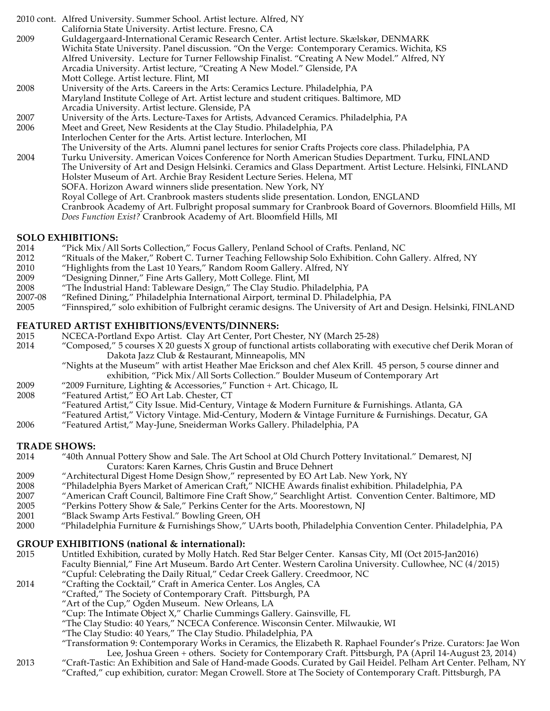2010 cont. Alfred University. Summer School. Artist lecture. Alfred, NY California State University. Artist lecture. Fresno, CA 2009 Guldagergaard-International Ceramic Research Center. Artist lecture. Skælskør, DENMARK Wichita State University. Panel discussion. "On the Verge: Contemporary Ceramics. Wichita, KS Alfred University. Lecture for Turner Fellowship Finalist. "Creating A New Model." Alfred, NY Arcadia University. Artist lecture, "Creating A New Model." Glenside, PA Mott College. Artist lecture. Flint, MI 2008 University of the Arts. Careers in the Arts: Ceramics Lecture. Philadelphia, PA Maryland Institute College of Art. Artist lecture and student critiques. Baltimore, MD Arcadia University. Artist lecture. Glenside, PA 2007 University of the Arts. Lecture-Taxes for Artists, Advanced Ceramics. Philadelphia, PA 2006 Meet and Greet, New Residents at the Clay Studio. Philadelphia, PA Interlochen Center for the Arts. Artist lecture. Interlochen, MI The University of the Arts. Alumni panel lectures for senior Crafts Projects core class. Philadelphia, PA 2004 Turku University. American Voices Conference for North American Studies Department. Turku, FINLAND The University of Art and Design Helsinki. Ceramics and Glass Department. Artist Lecture. Helsinki, FINLAND Holster Museum of Art. Archie Bray Resident Lecture Series. Helena, MT SOFA. Horizon Award winners slide presentation. New York, NY Royal College of Art. Cranbrook masters students slide presentation. London, ENGLAND Cranbrook Academy of Art. Fulbright proposal summary for Cranbrook Board of Governors. Bloomfield Hills, MI *Does Function Exist?* Cranbrook Academy of Art. Bloomfield Hills, MI

#### **SOLO EXHIBITIONS:**

- 2014 "Pick Mix/All Sorts Collection," Focus Gallery, Penland School of Crafts. Penland, NC
- 2012 "Rituals of the Maker," Robert C. Turner Teaching Fellowship Solo Exhibition. Cohn Gallery. Alfred, NY
- 2010 "Highlights from the Last 10 Years," Random Room Gallery. Alfred, NY
- 2009 "Designing Dinner," Fine Arts Gallery, Mott College. Flint, MI
- 2008 "The Industrial Hand: Tableware Design," The Clay Studio. Philadelphia, PA
- 2007-08 "Refined Dining," Philadelphia International Airport, terminal D. Philadelphia, PA
- 2005 "Finnspired," solo exhibition of Fulbright ceramic designs. The University of Art and Design. Helsinki, FINLAND

#### **FEATURED ARTIST EXHIBITIONS/EVENTS/DINNERS:**

- 2015 NCECA-Portland Expo Artist. Clay Art Center, Port Chester, NY (March 25-28)<br>2014 "Composed," 5 courses X 20 guests X group of functional artists collaborating w
- "Composed," 5 courses X 20 guests X group of functional artists collaborating with executive chef Derik Moran of Dakota Jazz Club & Restaurant, Minneapolis, MN
	- "Nights at the Museum" with artist Heather Mae Erickson and chef Alex Krill. 45 person, 5 course dinner and exhibition, "Pick Mix/All Sorts Collection." Boulder Museum of Contemporary Art
- 2009 "2009 Furniture, Lighting & Accessories," Function + Art. Chicago, IL
- 2008 "Featured Artist," EO Art Lab. Chester, CT
	- "Featured Artist," City Issue. Mid-Century, Vintage & Modern Furniture & Furnishings. Atlanta, GA
	- "Featured Artist," Victory Vintage. Mid-Century, Modern & Vintage Furniture & Furnishings. Decatur, GA
- 2006 "Featured Artist," May-June, Sneiderman Works Gallery. Philadelphia, PA

# **TRADE SHOWS:**<br>2014 **THE 1999 WAS**

- 2014 "40th Annual Pottery Show and Sale. The Art School at Old Church Pottery Invitational." Demarest, NJ Curators: Karen Karnes, Chris Gustin and Bruce Dehnert
- 2009 "Architectural Digest Home Design Show," represented by EO Art Lab. New York, NY
- 2008 "Philadelphia Byers Market of American Craft," NICHE Awards finalist exhibition. Philadelphia, PA
- 2007 "American Craft Council, Baltimore Fine Craft Show," Searchlight Artist. Convention Center. Baltimore, MD
- 2005 "Perkins Pottery Show & Sale," Perkins Center for the Arts. Moorestown, NJ
- 2001 "Black Swamp Arts Festival." Bowling Green, OH
- 2000 "Philadelphia Furniture & Furnishings Show," UArts booth, Philadelphia Convention Center. Philadelphia, PA

#### **GROUP EXHIBITIONS (national & international):**

- 2015 Untitled Exhibition, curated by Molly Hatch. Red Star Belger Center. Kansas City, MI (Oct 2015-Jan2016) Faculty Biennial," Fine Art Museum. Bardo Art Center. Western Carolina University. Cullowhee, NC (4/2015) "Cupful: Celebrating the Daily Ritual," Cedar Creek Gallery. Creedmoor, NC
- 2014 "Crafting the Cocktail," Craft in America Center. Los Angles, CA
	- "Crafted," The Society of Contemporary Craft. Pittsburgh, PA
	- "Art of the Cup," Ogden Museum. New Orleans, LA
	- "Cup: The Intimate Object X," Charlie Cummings Gallery. Gainsville, FL
	- "The Clay Studio: 40 Years," NCECA Conference. Wisconsin Center. Milwaukie, WI
	- "The Clay Studio: 40 Years," The Clay Studio. Philadelphia, PA
	- "Transformation 9: Contemporary Works in Ceramics, the Elizabeth R. Raphael Founder's Prize. Curators: Jae Won Lee, Joshua Green + others. Society for Contemporary Craft. Pittsburgh, PA (April 14-August 23, 2014)
- 2013 "Craft-Tastic: An Exhibition and Sale of Hand-made Goods. Curated by Gail Heidel. Pelham Art Center. Pelham, NY "Crafted," cup exhibition, curator: Megan Crowell. Store at The Society of Contemporary Craft. Pittsburgh, PA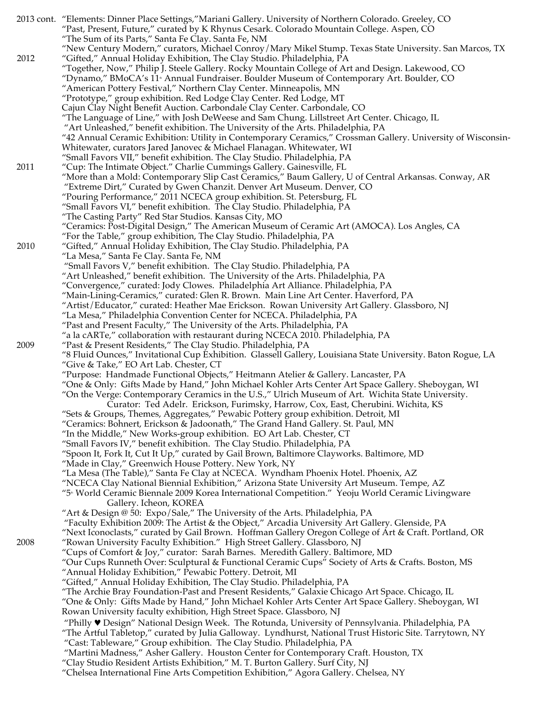|      | 2013 cont. "Elements: Dinner Place Settings,"Mariani Gallery. University of Northern Colorado. Greeley, CO   |
|------|--------------------------------------------------------------------------------------------------------------|
|      | "Past, Present, Future," curated by K Rhynus Cesark. Colorado Mountain College. Aspen, CO                    |
|      | "The Sum of its Parts," Santa Fe Clay. Santa Fe, NM                                                          |
|      | "New Century Modern," curators, Michael Conroy/Mary Mikel Stump. Texas State University. San Marcos, TX      |
| 2012 | "Gifted," Annual Holiday Exhibition, The Clay Studio. Philadelphia, PA                                       |
|      | "Together, Now," Philip J. Steele Gallery. Rocky Mountain College of Art and Design. Lakewood, CO            |
|      | "Dynamo," BMoCA's 11 <sup>®</sup> Annual Fundraiser. Boulder Museum of Contemporary Art. Boulder, CO         |
|      | "American Pottery Festival," Northern Clay Center. Minneapolis, MN                                           |
|      | "Prototype," group exhibition. Red Lodge Clay Center. Red Lodge, MT                                          |
|      | Cajun Clay Night Benefit Auction. Carbondale Clay Center. Carbondale, CO                                     |
|      | "The Language of Line," with Josh DeWeese and Sam Chung. Lillstreet Art Center. Chicago, IL                  |
|      | "Art Unleashed," benefit exhibition. The University of the Arts. Philadelphia, PA                            |
|      |                                                                                                              |
|      | "42 Annual Ceramic Exhibition: Utility in Contemporary Ceramics," Crossman Gallery. University of Wisconsin- |
|      | Whitewater, curators Jared Janovec & Michael Flanagan. Whitewater, WI                                        |
|      | "Small Favors VII," benefit exhibition. The Clay Studio. Philadelphia, PA                                    |
| 2011 | "Cup: The Intimate Object." Charlie Cummings Gallery. Gainesville, FL                                        |
|      | More than a Mold: Contemporary Slip Cast Ceramics," Baum Gallery, U of Central Arkansas. Conway, AR"         |
|      | "Extreme Dirt," Curated by Gwen Chanzit. Denver Art Museum. Denver, CO                                       |
|      | "Pouring Performance," 2011 NCECA group exhibition. St. Petersburg, FL                                       |
|      | "Small Favors VI," benefit exhibition. The Clay Studio. Philadelphia, PA                                     |
|      | "The Casting Party" Red Star Studios. Kansas City, MO                                                        |
|      | "Ceramics: Post-Digital Design," The American Museum of Ceramic Art (AMOCA). Los Angles, CA                  |
|      | "For the Table," group exhibition, The Clay Studio. Philadelphia, PA                                         |
| 2010 | "Gifted," Annual Holiday Exhibition, The Clay Studio. Philadelphia, PA                                       |
|      | "La Mesa," Santa Fe Clay. Santa Fe, NM                                                                       |
|      | "Small Favors V," benefit exhibition. The Clay Studio. Philadelphia, PA                                      |
|      | "Art Unleashed," benefit exhibition. The University of the Arts. Philadelphia, PA                            |
|      |                                                                                                              |
|      | "Convergence," curated: Jody Clowes. Philadelphia Art Alliance. Philadelphia, PA                             |
|      | "Main-Lining-Ceramics," curated: Glen R. Brown. Main Line Art Center. Haverford, PA                          |
|      | "Artist/Educator," curated: Heather Mae Erickson. Rowan University Art Gallery. Glassboro, NJ                |
|      | "La Mesa," Philadelphia Convention Center for NCECA. Philadelphia, PA                                        |
|      | "Past and Present Faculty," The University of the Arts. Philadelphia, PA                                     |
|      | "a la cARTe," collaboration with restaurant during NCECA 2010. Philadelphia, PA                              |
| 2009 | "Past & Present Residents," The Clay Studio. Philadelphia, PA                                                |
|      | "8 Fluid Ounces," Invitational Cup Exhibition. Glassell Gallery, Louisiana State University. Baton Rogue, LA |
|      | "Give & Take," EO Art Lab. Chester, CT                                                                       |
|      | "Purpose: Handmade Functional Objects," Heitmann Atelier & Gallery. Lancaster, PA                            |
|      | "One & Only: Gifts Made by Hand," John Michael Kohler Arts Center Art Space Gallery. Sheboygan, WI           |
|      | "On the Verge: Contemporary Ceramics in the U.S.," Ulrich Museum of Art. Wichita State University.           |
|      | Curator: Ted Adelr. Erickson, Furimsky, Harrow, Cox, East, Cherubini. Wichita, KS                            |
|      | "Sets & Groups, Themes, Aggregates," Pewabic Pottery group exhibition. Detroit, MI                           |
|      | "Ceramics: Bohnert, Erickson & Jadoonath," The Grand Hand Gallery. St. Paul, MN                              |
|      | "In the Middle," New Works-group exhibition. EO Art Lab. Chester, CT                                         |
|      | "Small Favors IV," benefit exhibition. The Clay Studio. Philadelphia, PA                                     |
|      | "Spoon It, Fork It, Cut It Up," curated by Gail Brown, Baltimore Clayworks. Baltimore, MD                    |
|      | "Made in Clay," Greenwich House Pottery. New York, NY                                                        |
|      | "La Mesa (The Table)," Santa Fe Clay at NCECA. Wyndham Phoenix Hotel. Phoenix, AZ                            |
|      |                                                                                                              |
|      | "NCECA Clay National Biennial Exhibition," Arizona State University Art Museum. Tempe, AZ                    |
|      | "5 <sup>*</sup> World Ceramic Biennale 2009 Korea International Competition." Yeoju World Ceramic Livingware |
|      | Gallery. Icheon, KOREA                                                                                       |
|      | "Art & Design @ 50: Expo/Sale," The University of the Arts. Philadelphia, PA                                 |
|      | "Faculty Exhibition 2009: The Artist & the Object," Arcadia University Art Gallery. Glenside, PA             |
|      | "Next Iconoclasts," curated by Gail Brown. Hoffman Gallery Oregon College of Art & Craft. Portland, OR       |
| 2008 | "Rowan University Faculty Exhibition." High Street Gallery. Glassboro, NJ                                    |
|      | "Cups of Comfort & Joy," curator: Sarah Barnes. Meredith Gallery. Baltimore, MD                              |
|      | Our Cups Runneth Over: Sculptural & Functional Ceramic Cups" Society of Arts & Crafts. Boston, MS"           |
|      | "Annual Holiday Exhibition," Pewabic Pottery. Detroit, MI                                                    |
|      | "Gifted," Annual Holiday Exhibition, The Clay Studio. Philadelphia, PA                                       |
|      | "The Archie Bray Foundation-Past and Present Residents," Galaxie Chicago Art Space. Chicago, IL              |
|      | "One & Only: Gifts Made by Hand," John Michael Kohler Arts Center Art Space Gallery. Sheboygan, WI           |
|      | Rowan University faculty exhibition, High Street Space. Glassboro, NJ                                        |
|      | "Philly V Design" National Design Week. The Rotunda, University of Pennsylvania. Philadelphia, PA            |
|      |                                                                                                              |
|      | "The Artful Tabletop," curated by Julia Galloway. Lyndhurst, National Trust Historic Site. Tarrytown, NY     |
|      | "Cast: Tableware," Group exhibition. The Clay Studio. Philadelphia, PA                                       |
|      | "Martini Madness," Asher Gallery. Houston Center for Contemporary Craft. Houston, TX                         |
|      | "Clay Studio Resident Artists Exhibition," M. T. Burton Gallery. Surf City, NJ                               |
|      | "Chelsea International Fine Arts Competition Exhibition," Agora Gallery. Chelsea, NY                         |
|      |                                                                                                              |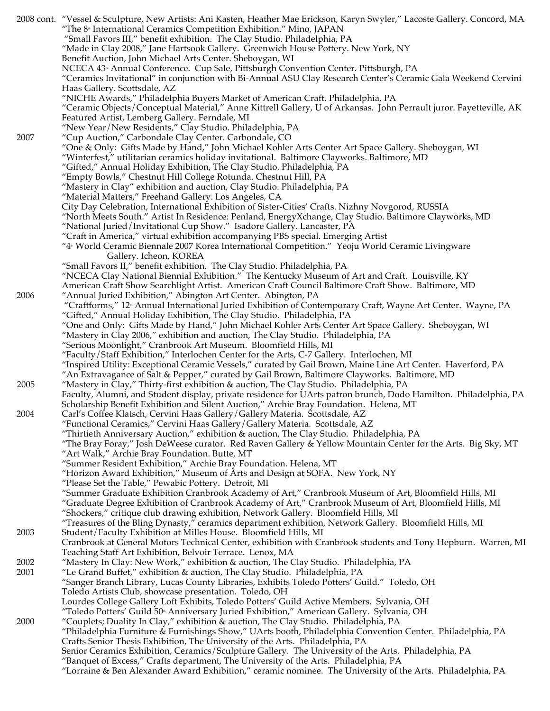|              | 2008 cont. "Vessel & Sculpture, New Artists: Ani Kasten, Heather Mae Erickson, Karyn Swyler," Lacoste Gallery. Concord, MA |
|--------------|----------------------------------------------------------------------------------------------------------------------------|
|              | "The 8 <sup>®</sup> International Ceramics Competition Exhibition." Mino, JAPAN                                            |
|              | "Small Favors III," benefit exhibition. The Clay Studio. Philadelphia, PA                                                  |
|              | "Made in Clay 2008," Jane Hartsook Gallery. Greenwich House Pottery. New York, NY                                          |
|              | Benefit Auction, John Michael Arts Center. Sheboygan, WI                                                                   |
|              | NCECA 43 <sup>®</sup> Annual Conference. Cup Sale, Pittsburgh Convention Center. Pittsburgh, PA                            |
|              | "Ceramics Invitational" in conjunction with Bi-Annual ASU Clay Research Center's Ceramic Gala Weekend Cervini              |
|              | Haas Gallery. Scottsdale, AZ                                                                                               |
|              | "NICHE Awards," Philadelphia Buyers Market of American Craft. Philadelphia, PA                                             |
|              | "Ceramic Objects/Conceptual Material," Anne Kittrell Gallery, U of Arkansas. John Perrault juror. Fayetteville, AK         |
|              |                                                                                                                            |
|              | Featured Artist, Lemberg Gallery. Ferndale, MI                                                                             |
|              | "New Year/New Residents," Clay Studio. Philadelphia, PA                                                                    |
| 2007         | "Cup Auction," Carbondale Clay Center. Carbondale, CO                                                                      |
|              | "One & Only: Gifts Made by Hand," John Michael Kohler Arts Center Art Space Gallery. Sheboygan, WI                         |
|              | "Winterfest," utilitarian ceramics holiday invitational. Baltimore Clayworks. Baltimore, MD                                |
|              | "Gifted," Annual Holiday Exhibition, The Clay Studio. Philadelphia, PA                                                     |
|              | "Empty Bowls," Chestnut Hill College Rotunda. Chestnut Hill, PA                                                            |
|              | "Mastery in Clay" exhibition and auction, Clay Studio. Philadelphia, PA                                                    |
|              | "Material Matters," Freehand Gallery. Los Angeles, CA                                                                      |
|              | City Day Celebration, International Exhibition of Sister-Cities' Crafts. Nizhny Novgorod, RUSSIA                           |
|              | "North Meets South." Artist In Residence: Penland, EnergyXchange, Clay Studio. Baltimore Clayworks, MD                     |
|              | "National Juried/Invitational Cup Show." Isadore Gallery. Lancaster, PA                                                    |
|              | "Craft in America," virtual exhibition accompanying PBS special. Emerging Artist                                           |
|              | "4 <sup>®</sup> World Ceramic Biennale 2007 Korea International Competition." Yeoju World Ceramic Livingware               |
|              | Gallery. Icheon, KOREA                                                                                                     |
|              | "Small Favors II," benefit exhibition. The Clay Studio. Philadelphia, PA                                                   |
|              | "NCECA Clay National Biennial Exhibition." The Kentucky Museum of Art and Craft. Louisville, KY                            |
|              | American Craft Show Searchlight Artist. American Craft Council Baltimore Craft Show. Baltimore, MD                         |
| 2006         | "Annual Juried Exhibition," Abington Art Center. Abington, PA                                                              |
|              | "Craftforms," 12 <sup>®</sup> Annual International Juried Exhibition of Contemporary Craft, Wayne Art Center. Wayne, PA    |
|              | "Gifted," Annual Holiday Exhibition, The Clay Studio. Philadelphia, PA                                                     |
|              |                                                                                                                            |
|              | "One and Only: Gifts Made by Hand," John Michael Kohler Arts Center Art Space Gallery. Sheboygan, WI                       |
|              | "Mastery in Clay 2006," exhibition and auction, The Clay Studio. Philadelphia, PA                                          |
|              | "Serious Moonlight," Cranbrook Art Museum. Bloomfield Hills, MI                                                            |
|              | "Faculty/Staff Exhibition," Interlochen Center for the Arts, C-7 Gallery. Interlochen, MI                                  |
|              | "Inspired Utility: Exceptional Ceramic Vessels," curated by Gail Brown, Maine Line Art Center. Haverford, PA               |
|              | "An Extravagance of Salt & Pepper," curated by Gail Brown, Baltimore Clayworks. Baltimore, MD                              |
| 2005         | "Mastery in Clay," Thirty-first exhibition & auction, The Clay Studio. Philadelphia, PA                                    |
|              | Faculty, Alumni, and Student display, private residence for UArts patron brunch, Dodo Hamilton. Philadelphia, PA           |
|              | Scholarship Benefit Exhibition and Silent Auction," Archie Bray Foundation. Helena, MT                                     |
| 2004         | Carl's Coffee Klatsch, Cervini Haas Gallery/Gallery Materia. Scottsdale, AZ                                                |
|              | "Functional Ceramics," Cervini Haas Gallery / Gallery Materia. Scottsdale, AZ                                              |
|              | "Thirtieth Anniversary Auction," exhibition & auction, The Clay Studio. Philadelphia, PA                                   |
|              | "The Bray Foray," Josh DeWeese curator. Red Raven Gallery & Yellow Mountain Center for the Arts. Big Sky, MT               |
|              | "Art Walk," Archie Bray Foundation. Butte, MT                                                                              |
|              | "Summer Resident Exhibition," Archie Bray Foundation. Helena, MT                                                           |
|              | "Horizon Award Exhibition," Museum of Arts and Design at SOFA. New York, NY                                                |
|              | "Please Set the Table," Pewabic Pottery. Detroit, MI                                                                       |
|              | "Summer Graduate Exhibition Cranbrook Academy of Art," Cranbrook Museum of Art, Bloomfield Hills, MI                       |
|              | "Graduate Degree Exhibition of Cranbrook Academy of Art," Cranbrook Museum of Art, Bloomfield Hills, MI                    |
|              | "Shockers," critique club drawing exhibition, Network Gallery. Bloomfield Hills, MI                                        |
|              | "Treasures of the Bling Dynasty," ceramics department exhibition, Network Gallery. Bloomfield Hills, MI                    |
| 2003         | Student/Faculty Exhibition at Milles House. Bloomfield Hills, MI                                                           |
|              | Cranbrook at General Motors Technical Center, exhibition with Cranbrook students and Tony Hepburn. Warren, MI              |
|              | Teaching Staff Art Exhibition, Belvoir Terrace. Lenox, MA                                                                  |
|              |                                                                                                                            |
| 2002<br>2001 | "Mastery In Clay: New Work," exhibition & auction, The Clay Studio. Philadelphia, PA                                       |
|              | "Le Grand Buffet," exhibition & auction, The Clay Studio. Philadelphia, PA                                                 |
|              | "Sanger Branch Library, Lucas County Libraries, Exhibits Toledo Potters' Guild." Toledo, OH                                |
|              | Toledo Artists Club, showcase presentation. Toledo, OH                                                                     |
|              | Lourdes College Gallery Loft Exhibits, Toledo Potters' Guild Active Members. Sylvania, OH                                  |
|              | "Toledo Potters' Guild 50 <sup>®</sup> Anniversary Juried Exhibition," American Gallery. Sylvania, OH                      |
| 2000         | "Couplets; Duality In Clay," exhibition & auction, The Clay Studio. Philadelphia, PA                                       |
|              | "Philadelphia Furniture & Furnishings Show," UArts booth, Philadelphia Convention Center. Philadelphia, PA                 |
|              | Crafts Senior Thesis Exhibition, The University of the Arts. Philadelphia, PA                                              |
|              | Senior Ceramics Exhibition, Ceramics/Sculpture Gallery. The University of the Arts. Philadelphia, PA                       |
|              | "Banquet of Excess," Crafts department, The University of the Arts. Philadelphia, PA                                       |
|              | "Lorraine & Ben Alexander Award Exhibition," ceramic nominee. The University of the Arts. Philadelphia, PA                 |
|              |                                                                                                                            |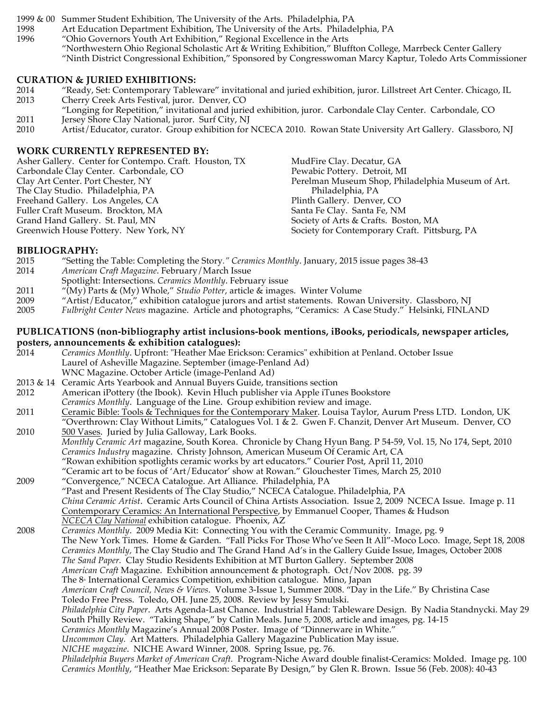1999 & 00 Summer Student Exhibition, The University of the Arts. Philadelphia, PA

- 1998 Art Education Department Exhibition, The University of the Arts. Philadelphia, PA<br>1996 "Ohio Governors Youth Art Exhibition," Regional Excellence in the Arts
	- "Ohio Governors Youth Art Exhibition," Regional Excellence in the Arts
		- "Northwestern Ohio Regional Scholastic Art & Writing Exhibition," Bluffton College, Marrbeck Center Gallery
		- "Ninth District Congressional Exhibition," Sponsored by Congresswoman Marcy Kaptur, Toledo Arts Commissioner

#### **CURATION & JURIED EXHIBITIONS:**

- 2014 "Ready, Set: Contemporary Tableware" invitational and juried exhibition, juror. Lillstreet Art Center. Chicago, IL Cherry Creek Arts Festival, juror. Denver, CO
- "Longing for Repetition," invitational and juried exhibition, juror. Carbondale Clay Center. Carbondale, CO 2011 Jersey Shore Clay National, juror. Surf City, NJ
- 2010 Artist/Educator, curator. Group exhibition for NCECA 2010. Rowan State University Art Gallery. Glassboro, NJ

#### **WORK CURRENTLY REPRESENTED BY:**

| Asher Gallery. Center for Contempo. Craft. Houston, TX | MudFire Clay. Decatur, GA                         |
|--------------------------------------------------------|---------------------------------------------------|
| Carbondale Clay Center. Carbondale, CO                 | Pewabic Pottery. Detroit, MI                      |
| Clay Art Center. Port Chester, NY                      | Perelman Museum Shop, Philadelphia Museum of Art. |
| The Clay Studio. Philadelphia, PA                      | Philadelphia, PA                                  |
| Freehand Gallery. Los Angeles, CA                      | Plinth Gallery. Denver, CO                        |
| Fuller Craft Museum. Brockton, MA                      | Santa Fe Clay. Santa Fe, NM                       |
| Grand Hand Gallery. St. Paul, MN                       | Society of Arts & Crafts. Boston, MA              |
| Greenwich House Pottery. New York, NY                  | Society for Contemporary Craft. Pittsburg, PA     |

#### **BIBLIOGRAPHY:**

- 2015 "Setting the Table: Completing the Story*." Ceramics Monthly*. January, 2015 issue pages 38-43
- 2014 *American Craft Magazine*. February/March Issue
- Spotlight: Intersections*. Ceramics Monthly*. February issue
- 2011 "(My) Parts & (My) Whole," *Studio Potter*, article & images. Winter Volume
- 2009 "Artist/Educator," exhibition catalogue jurors and artist statements. Rowan University. Glassboro, NJ
- 2005 *Fulbright Center News* magazine. Article and photographs, "Ceramics: A Case Study." Helsinki, FINLAND

# **PUBLICATIONS (non-bibliography artist inclusions-book mentions, iBooks, periodicals, newspaper articles, posters, announcements & exhibition catalogues):**

- 2014 *Ceramics Monthly*. Upfront: "Heather Mae Erickson: Ceramics" exhibition at Penland. October Issue Laurel of Asheville Magazine. September (image-Penland Ad) WNC Magazine. October Article (image-Penland Ad)
- 2013 & 14 Ceramic Arts Yearbook and Annual Buyers Guide, transitions section
- 2012 American iPottery (the Ibook). Kevin Hluch publisher via Apple iTunes Bookstore *Ceramics Monthly*. Language of the Line. Group exhibition review and image.
- 2011 <u>Ceramic Bible: Tools & Techniques for the Contemporary Maker</u>. Louisa Taylor, Aurum Press LTD. London, UK "Overthrown: Clay Without Limits," Catalogues Vol. 1 & 2. Gwen F. Chanzit, Denver Art Museum. Denver, CO
- 2010 500 Vases. Juried by Julia Galloway, Lark Books. *Monthly Ceramic Art* magazine, South Korea. Chronicle by Chang Hyun Bang. P 54-59, Vol. 15, No 174, Sept, 2010 *Ceramics Industry* magazine. Christy Johnson, American Museum Of Ceramic Art, CA "Rowan exhibition spotlights ceramic works by art educators." Courier Post, April 11, 2010 "Ceramic art to be focus of 'Art/Educator' show at Rowan." Glouchester Times, March 25, 2010
- 2009 "Convergence," NCECA Catalogue. Art Alliance. Philadelphia, PA "Past and Present Residents of The Clay Studio," NCECA Catalogue. Philadelphia, PA *China Ceramic Artist*. Ceramic Arts Council of China Artists Association. Issue 2, 2009 NCECA Issue. Image p. 11 Contemporary Ceramics: An International Perspective, by Emmanuel Cooper, Thames & Hudson *NCECA Clay National* exhibition catalogue. Phoenix, AZ
- 2008 *Ceramics Monthly*. 2009 Media Kit: Connecting You with the Ceramic Community. Image, pg. 9 The New York Times. Home & Garden. "Fall Picks For Those Who've Seen It All"-Moco Loco. Image, Sept 18, 2008 *Ceramics Monthly,* The Clay Studio and The Grand Hand Ad's in the Gallery Guide Issue, Images, October 2008 *The Sand Paper.* Clay Studio Residents Exhibition at MT Burton Gallery. September 2008 *American Craft* Magazine. Exhibition announcement & photograph. Oct/Nov 2008. pg. 39 The 8<sup>th</sup> International Ceramics Competition, exhibition catalogue. Mino, Japan *American Craft Council, News & Views*. Volume 3-Issue 1, Summer 2008. "Day in the Life." By Christina Case Toledo Free Press. Toledo, OH. June 25, 2008. Review by Jessy Smulski. *Philadelphia City Paper*. Arts Agenda-Last Chance. Industrial Hand: Tableware Design. By Nadia Standnycki. May 29 South Philly Review. "Taking Shape," by Catlin Meals. June 5, 2008, article and images, pg. 14-15 *Ceramics Monthly* Magazine's Annual 2008 Poster. Image of "Dinnerware in White." *Uncommon Clay.* Art Matters. Philadelphia Gallery Magazine Publication May issue. *NICHE magazine*. NICHE Award Winner, 2008. Spring Issue, pg. 76.
	- *Philadelphia Buyers Market of American Craft.* Program-Niche Award double finalist-Ceramics: Molded. Image pg. 100 *Ceramics Monthly*, "Heather Mae Erickson: Separate By Design," by Glen R. Brown. Issue 56 (Feb. 2008): 40-43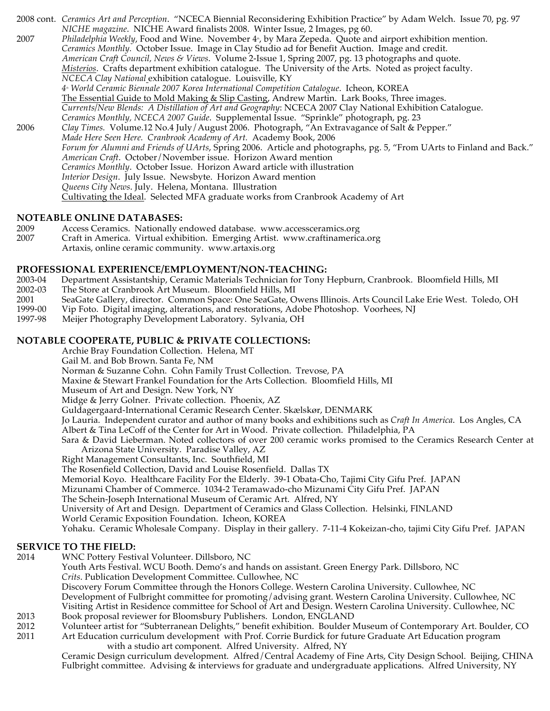2008 cont. *Ceramics Art and Perception*. "NCECA Biennial Reconsidering Exhibition Practice" by Adam Welch. Issue 70, pg. 97 *NICHE magazine*. NICHE Award finalists 2008. Winter Issue, 2 Images, pg 60. 2007 *Philadelphia Weekly, Food and Wine. November 4<sup>\*</sup>, by Mara Zepeda. Quote and airport exhibition mention. Ceramics Monthly.* October Issue. Image in Clay Studio ad for Benefit Auction. Image and credit. *American Craft Council, News & Views*. Volume 2-Issue 1, Spring 2007, pg. 13 photographs and quote. *Misterios*. Crafts department exhibition catalogue. The University of the Arts. Noted as project faculty. *NCECA Clay National* exhibition catalogue. Louisville, KY *4th World Ceramic Biennale 2007 Korea International Competition Catalogue*. Icheon, KOREA The Essential Guide to Mold Making & Slip Casting, Andrew Martin. Lark Books, Three images. *Currents/New Blends: A Distillation of Art and Geography*: NCECA 2007 Clay National Exhibition Catalogue. *Ceramics Monthly, NCECA 2007 Guide*. Supplemental Issue. "Sprinkle" photograph, pg. 23 2006 *Clay Times.* Volume.12 No.4 July/August 2006. Photograph, "An Extravagance of Salt & Pepper." *Made Here Seen Here. Cranbrook Academy of Art.* Academy Book, 2006 *Forum for Alumni and Friends of UArts*, Spring 2006. Article and photographs, pg. 5, "From UArts to Finland and Back." *American Craft*. October/November issue. Horizon Award mention *Ceramics Monthly*. October Issue. Horizon Award article with illustration *Interior Design*. July Issue. Newsbyte. Horizon Award mention *Queens City News*. July. Helena, Montana. Illustration Cultivating the Ideal. Selected MFA graduate works from Cranbrook Academy of Art

#### **NOTEABLE ONLINE DATABASES:**

- 2009 Access Ceramics. Nationally endowed database. www.accessceramics.org<br>2007 Craft in America. Virtual exhibition. Emerging Artist. www.craftinameric.
- Craft in America. Virtual exhibition. Emerging Artist. www.craftinamerica.org Artaxis, online ceramic community. www.artaxis.org

#### **PROFESSIONAL EXPERIENCE/EMPLOYMENT/NON-TEACHING:**

- 2003-04 Department Assistantship, Ceramic Materials Technician for Tony Hepburn, Cranbrook. Bloomfield Hills, MI
- 2002-03 The Store at Cranbrook Art Museum. Bloomfield Hills, MI
- 2001 SeaGate Gallery, director. Common Space: One SeaGate, Owens Illinois. Arts Council Lake Erie West. Toledo, OH
- 1999-00 Vip Foto. Digital imaging, alterations, and restorations, Adobe Photoshop. Voorhees, NJ
- 1997-98 Meijer Photography Development Laboratory. Sylvania, OH

#### **NOTABLE COOPERATE, PUBLIC & PRIVATE COLLECTIONS:**

Archie Bray Foundation Collection. Helena, MT

Gail M. and Bob Brown. Santa Fe, NM

Norman & Suzanne Cohn. Cohn Family Trust Collection. Trevose, PA

Maxine & Stewart Frankel Foundation for the Arts Collection. Bloomfield Hills, MI

Museum of Art and Design. New York, NY

Midge & Jerry Golner. Private collection. Phoenix, AZ

Guldagergaard-International Ceramic Research Center. Skælskør, DENMARK

Jo Lauria. Independent curator and author of many books and exhibitions such as *Craft In America*. Los Angles, CA

Albert & Tina LeCoff of the Center for Art in Wood. Private collection. Philadelphia, PA

Sara & David Lieberman. Noted collectors of over 200 ceramic works promised to the Ceramics Research Center at Arizona State University. Paradise Valley, AZ

Right Management Consultants, Inc. Southfield, MI

The Rosenfield Collection, David and Louise Rosenfield. Dallas TX

Memorial Koyo. Healthcare Facility For the Elderly. 39-1 Obata-Cho, Tajimi City Gifu Pref. JAPAN

Mizunami Chamber of Commerce. 1034-2 Teramawado-cho Mizunami City Gifu Pref. JAPAN

The Schein-Joseph International Museum of Ceramic Art. Alfred, NY

University of Art and Design. Department of Ceramics and Glass Collection. Helsinki, FINLAND

World Ceramic Exposition Foundation. Icheon, KOREA

Yohaku. Ceramic Wholesale Company. Display in their gallery. 7-11-4 Kokeizan-cho, tajimi City Gifu Pref. JAPAN

#### **SERVICE TO THE FIELD:**

2014 WNC Pottery Festival Volunteer. Dillsboro, NC

Youth Arts Festival. WCU Booth. Demo's and hands on assistant. Green Energy Park. Dillsboro, NC *Crits*. Publication Development Committee. Cullowhee, NC Discovery Forum Committee through the Honors College. Western Carolina University. Cullowhee, NC

Development of Fulbright committee for promoting/advising grant. Western Carolina University. Cullowhee, NC Visiting Artist in Residence committee for School of Art and Design. Western Carolina University. Cullowhee, NC

- 2013 Book proposal reviewer for Bloomsbury Publishers. London, ENGLAND<br>2012 Volunteer artist for "Subterranean Delights," benefit exhibition. Boulder N
- 2012 Volunteer artist for "Subterranean Delights," benefit exhibition. Boulder Museum of Contemporary Art. Boulder, CO<br>2011 Art Education curriculum development with Prof. Corrie Burdick for future Graduate Art Education p

Art Education curriculum development with Prof. Corrie Burdick for future Graduate Art Education program with a studio art component. Alfred University. Alfred, NY

Ceramic Design curriculum development. Alfred/Central Academy of Fine Arts, City Design School. Beijing, CHINA Fulbright committee. Advising & interviews for graduate and undergraduate applications. Alfred University, NY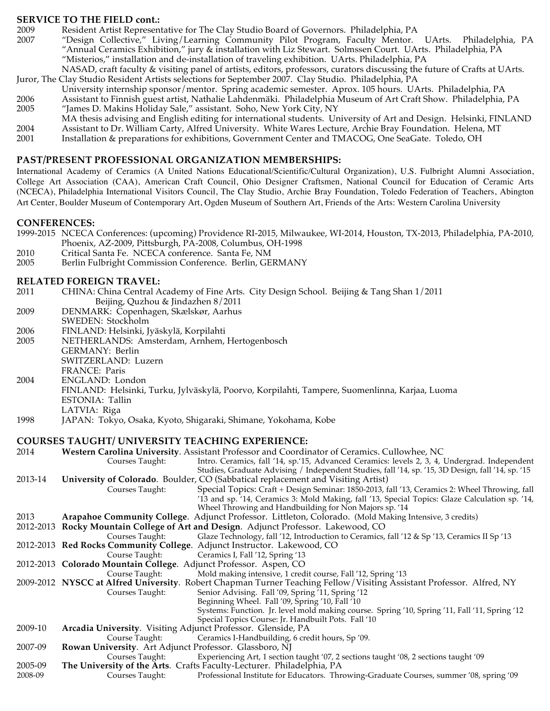### **SERVICE TO THE FIELD cont.:**

- 2009 Resident Artist Representative for The Clay Studio Board of Governors. Philadelphia, PA
- 2007 "Design Collective," Living/Learning Community Pilot Program, Faculty Mentor. UArts. Philadelphia, PA "Annual Ceramics Exhibition," jury & installation with Liz Stewart. Solmssen Court. UArts. Philadelphia, PA "Misterios," installation and de-installation of traveling exhibition. UArts. Philadelphia, PA
- NASAD, craft faculty & visiting panel of artists, editors, professors, curators discussing the future of Crafts at UArts. Juror, The Clay Studio Resident Artists selections for September 2007. Clay Studio. Philadelphia, PA
- University internship sponsor/mentor. Spring academic semester. Aprox. 105 hours. UArts. Philadelphia, PA
- 2006 Assistant to Finnish guest artist, Nathalie Lahdenmäki. Philadelphia Museum of Art Craft Show. Philadelphia, PA 2005 "James D. Makins Holiday Sale," assistant. Soho, New York City, NY
- MA thesis advising and English editing for international students. University of Art and Design. Helsinki, FINLAND
- 2004 Assistant to Dr. William Carty, Alfred University. White Wares Lecture, Archie Bray Foundation. Helena, MT
- Installation & preparations for exhibitions, Government Center and TMACOG, One SeaGate. Toledo, OH

#### **PAST/PRESENT PROFESSIONAL ORGANIZATION MEMBERSHIPS:**

International Academy of Ceramics (A United Nations Educational/Scientific/Cultural Organization), U.S. Fulbright Alumni Association, College Art Association (CAA), American Craft Council, Ohio Designer Craftsmen, National Council for Education of Ceramic Arts (NCECA), Philadelphia International Visitors Council, The Clay Studio, Archie Bray Foundation, Toledo Federation of Teachers, Abington Art Center, Boulder Museum of Contemporary Art, Ogden Museum of Southern Art, Friends of the Arts: Western Carolina University

#### **CONFERENCES:**

- 1999-2015 NCECA Conferences: (upcoming) Providence RI-2015, Milwaukee, WI-2014, Houston, TX-2013, Philadelphia, PA-2010, Phoenix, AZ-2009, Pittsburgh, PA-2008, Columbus, OH-1998
- 2010 Critical Santa Fe. NCECA conference. Santa Fe, NM
- 2005 Berlin Fulbright Commission Conference. Berlin, GERMANY

- **RELATED FOREIGN TRAVEL:**<br>2011 CHINA: China Central A 2011 CHINA: China Central Academy of Fine Arts. City Design School. Beijing & Tang Shan 1/2011 Beijing, Quzhou & Jindazhen 8/2011 2009 DENMARK: Copenhagen, Skælskør, Aarhus SWEDEN: Stockholm 2006 FINLAND: Helsinki, Jyäskylä, Korpilahti 2005 NETHERLANDS: Amsterdam, Arnhem, Hertogenbosch
- GERMANY: Berlin
- SWITZERLAND: Luzern
- FRANCE: Paris
- 2004 ENGLAND: London
- FINLAND: Helsinki, Turku, Jylväskylä, Poorvo, Korpilahti, Tampere, Suomenlinna, Karjaa, Luoma
- ESTONIA: Tallin LATVIA: Riga
- 1998 JAPAN: Tokyo, Osaka, Kyoto, Shigaraki, Shimane, Yokohama, Kobe

#### **COURSES TAUGHT/ UNIVERSITY TEACHING EXPERIENCE:**

2014 **Western Carolina University**. Assistant Professor and Coordinator of Ceramics. Cullowhee, NC Courses Taught: Intro. Ceramics, fall '14, sp.'15, Advanced Ceramics: levels 2, 3, 4, Undergrad. Independent Studies, Graduate Advising / Independent Studies, fall '14, sp. '15, 3D Design, fall '14, sp. '15 2013-14 **University of Colorado**. Boulder, CO (Sabbatical replacement and Visiting Artist) Courses Taught: Special Topics: Craft + Design Seminar: 1850-2013, fall '13, Ceramics 2: Wheel Throwing, fall '13 and sp. '14, Ceramics 3: Mold Making, fall '13, Special Topics: Glaze Calculation sp. '14, Wheel Throwing and Handbuilding for Non Majors sp. '14 2013 **Arapahoe Community College**. Adjunct Professor. Littleton, Colorado. (Mold Making Intensive, 3 credits) 2012-2013 **Rocky Mountain College of Art and Design**. Adjunct Professor. Lakewood, CO Courses Taught: Glaze Technology, fall '12, Introduction to Ceramics, fall '12 & Sp '13, Ceramics II Sp '13 2012-2013 **Red Rocks Community College**. Adjunct Instructor. Lakewood, CO Course Taught: Ceramics I, Fall '12, Spring '13 2012-2013 **Colorado Mountain College**. Adjunct Professor. Aspen, CO Course Taught: Mold making intensive, 1 credit course, Fall '12, Spring '13 2009-2012 **NYSCC at Alfred University**. Robert Chapman Turner Teaching Fellow/Visiting Assistant Professor. Alfred, NY Courses Taught: Senior Advising. Fall '09, Spring '11, Spring '12 Beginning Wheel. Fall '09, Spring '10, Fall '10 Systems: Function. Jr. level mold making course. Spring '10, Spring '11, Fall '11, Spring '12 Special Topics Course: Jr. Handbuilt Pots. Fall '10 2009-10 **Arcadia University**. Visiting Adjunct Professor. Glenside, PA Course Taught: Ceramics I-Handbuilding, 6 credit hours, Sp '09. 2007-09 **Rowan University**. Art Adjunct Professor. Glassboro, NJ Courses Taught: Experiencing Art, 1 section taught '07, 2 sections taught '08, 2 sections taught '09 2005-09 **The University of the Arts**. Crafts Faculty-Lecturer. Philadelphia, PA Professional Institute for Educators. Throwing-Graduate Courses, summer '08, spring '09